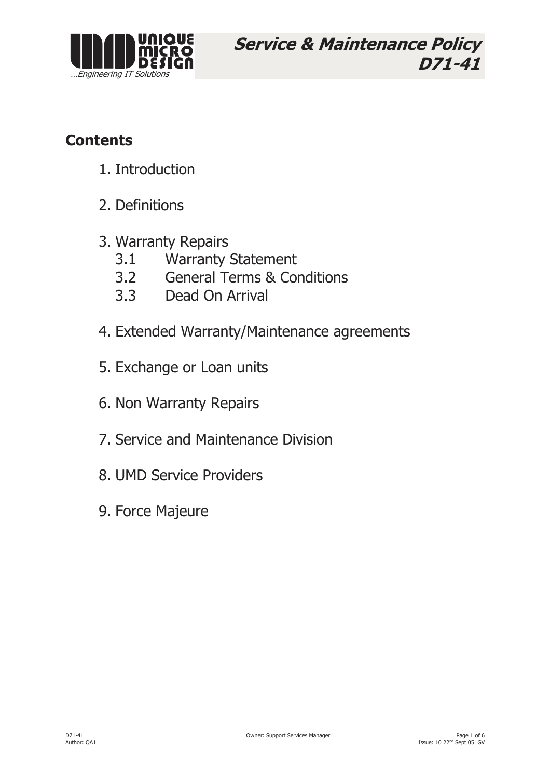

Service & Maintenance Policy D71-41

# **Contents**

- 1. Introduction
- 2. Definitions
- 3. Warranty Repairs
	- 3.1 Warranty Statement
	- 3.2 General Terms & Conditions
	- 3.3 Dead On Arrival
- 4. Extended Warranty/Maintenance agreements
- 5. Exchange or Loan units
- 6. Non Warranty Repairs
- 7. Service and Maintenance Division
- 8. UMD Service Providers
- 9. Force Majeure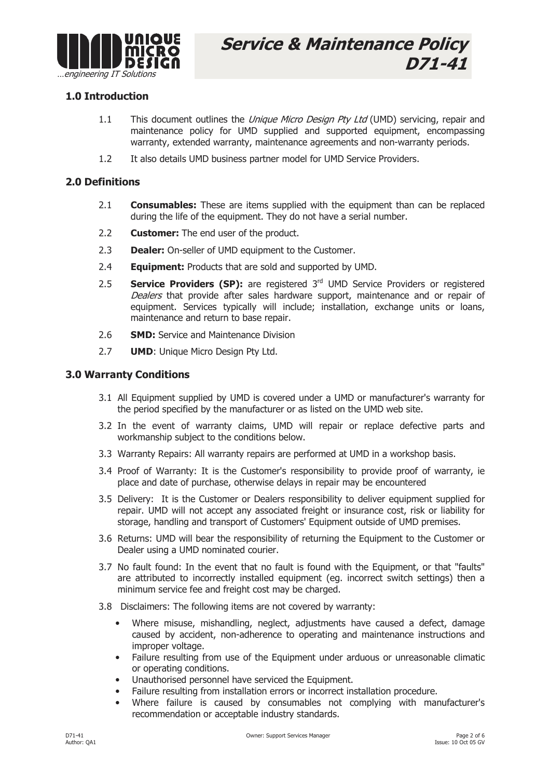

## 1.0 Introduction

- 1.1 This document outlines the *Unique Micro Design Pty Ltd* (UMD) servicing, repair and maintenance policy for UMD supplied and supported equipment, encompassing warranty, extended warranty, maintenance agreements and non-warranty periods.
- 1.2 It also details UMD business partner model for UMD Service Providers.

#### 2.0 Definitions

- 2.1 **Consumables:** These are items supplied with the equipment than can be replaced during the life of the equipment. They do not have a serial number.
- 2.2 **Customer:** The end user of the product.
- 2.3 Dealer: On-seller of UMD equipment to the Customer.
- 2.4 **Equipment:** Products that are sold and supported by UMD.
- 2.5 **Service Providers (SP):** are registered  $3<sup>rd</sup>$  UMD Service Providers or registered Dealers that provide after sales hardware support, maintenance and or repair of equipment. Services typically will include; installation, exchange units or loans, maintenance and return to base repair.
- 2.6 **SMD:** Service and Maintenance Division
- 2.7 **UMD:** Unique Micro Design Pty Ltd.

#### 3.0 Warranty Conditions

- 3.1 All Equipment supplied by UMD is covered under a UMD or manufacturer's warranty for the period specified by the manufacturer or as listed on the UMD web site.
- 3.2 In the event of warranty claims, UMD will repair or replace defective parts and workmanship subject to the conditions below.
- 3.3 Warranty Repairs: All warranty repairs are performed at UMD in a workshop basis.
- 3.4 Proof of Warranty: It is the Customer's responsibility to provide proof of warranty, ie place and date of purchase, otherwise delays in repair may be encountered
- 3.5 Delivery: It is the Customer or Dealers responsibility to deliver equipment supplied for repair. UMD will not accept any associated freight or insurance cost, risk or liability for storage, handling and transport of Customers' Equipment outside of UMD premises.
- 3.6 Returns: UMD will bear the responsibility of returning the Equipment to the Customer or Dealer using a UMD nominated courier.
- 3.7 No fault found: In the event that no fault is found with the Equipment, or that "faults" are attributed to incorrectly installed equipment (eg. incorrect switch settings) then a minimum service fee and freight cost may be charged.
- 3.8 Disclaimers: The following items are not covered by warranty:
	- Where misuse, mishandling, neglect, adjustments have caused a defect, damage caused by accident, non-adherence to operating and maintenance instructions and improper voltage.
	- Failure resulting from use of the Equipment under arduous or unreasonable climatic or operating conditions.
	- Unauthorised personnel have serviced the Equipment.
	- Failure resulting from installation errors or incorrect installation procedure.
	- Where failure is caused by consumables not complying with manufacturer's recommendation or acceptable industry standards.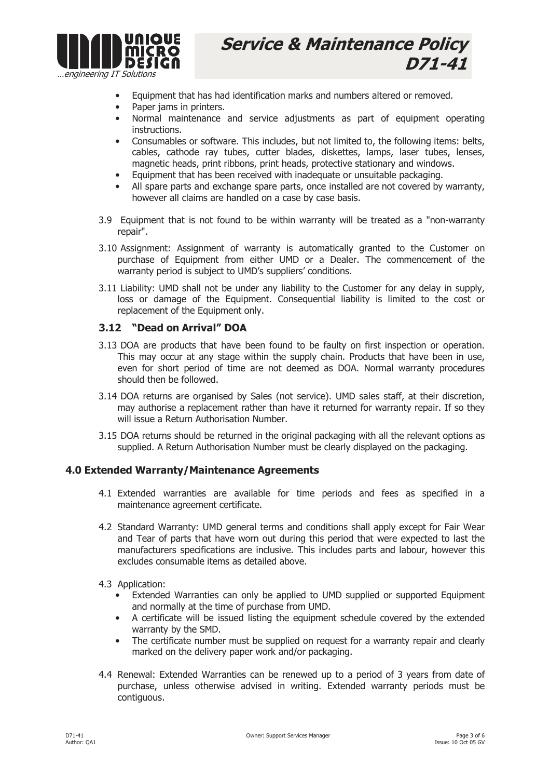

- Equipment that has had identification marks and numbers altered or removed.
- Paper jams in printers.
- Normal maintenance and service adjustments as part of equipment operating instructions.
- Consumables or software. This includes, but not limited to, the following items: belts, cables, cathode ray tubes, cutter blades, diskettes, lamps, laser tubes, lenses, magnetic heads, print ribbons, print heads, protective stationary and windows.
- Equipment that has been received with inadequate or unsuitable packaging.
- All spare parts and exchange spare parts, once installed are not covered by warranty, however all claims are handled on a case by case basis.
- 3.9 Equipment that is not found to be within warranty will be treated as a "non-warranty repair".
- 3.10 Assignment: Assignment of warranty is automatically granted to the Customer on purchase of Equipment from either UMD or a Dealer. The commencement of the warranty period is subject to UMD's suppliers' conditions.
- 3.11 Liability: UMD shall not be under any liability to the Customer for any delay in supply, loss or damage of the Equipment. Consequential liability is limited to the cost or replacement of the Equipment only.

#### 3.12 "Dead on Arrival" DOA

- 3.13 DOA are products that have been found to be faulty on first inspection or operation. This may occur at any stage within the supply chain. Products that have been in use, even for short period of time are not deemed as DOA. Normal warranty procedures should then be followed.
- 3.14 DOA returns are organised by Sales (not service). UMD sales staff, at their discretion, may authorise a replacement rather than have it returned for warranty repair. If so they will issue a Return Authorisation Number.
- 3.15 DOA returns should be returned in the original packaging with all the relevant options as supplied. A Return Authorisation Number must be clearly displayed on the packaging.

#### 4.0 Extended Warranty/Maintenance Agreements

- 4.1 Extended warranties are available for time periods and fees as specified in a maintenance agreement certificate.
- 4.2 Standard Warranty: UMD general terms and conditions shall apply except for Fair Wear and Tear of parts that have worn out during this period that were expected to last the manufacturers specifications are inclusive. This includes parts and labour, however this excludes consumable items as detailed above.
- 4.3 Application:
	- Extended Warranties can only be applied to UMD supplied or supported Equipment and normally at the time of purchase from UMD.
	- A certificate will be issued listing the equipment schedule covered by the extended warranty by the SMD.
	- The certificate number must be supplied on request for a warranty repair and clearly marked on the delivery paper work and/or packaging.
- 4.4 Renewal: Extended Warranties can be renewed up to a period of 3 years from date of purchase, unless otherwise advised in writing. Extended warranty periods must be contiguous.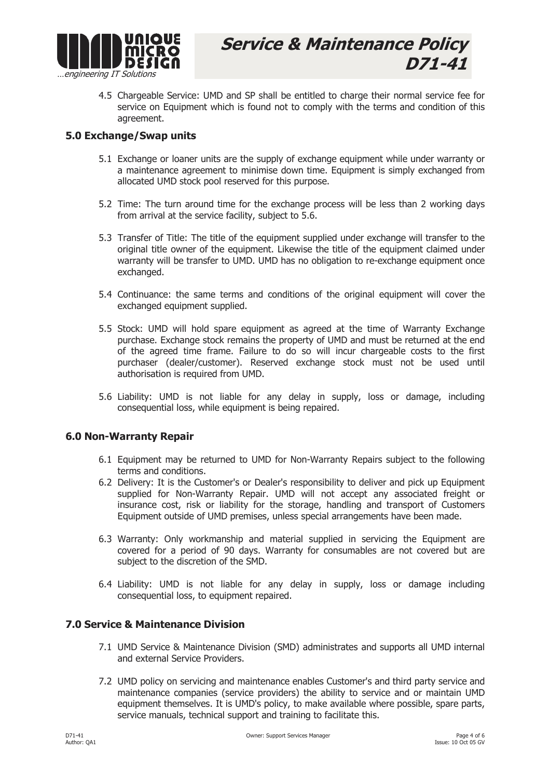

4.5 Chargeable Service: UMD and SP shall be entitled to charge their normal service fee for service on Equipment which is found not to comply with the terms and condition of this agreement.

#### 5.0 Exchange/Swap units

- 5.1 Exchange or loaner units are the supply of exchange equipment while under warranty or a maintenance agreement to minimise down time. Equipment is simply exchanged from allocated UMD stock pool reserved for this purpose.
- 5.2 Time: The turn around time for the exchange process will be less than 2 working days from arrival at the service facility, subject to 5.6.
- 5.3 Transfer of Title: The title of the equipment supplied under exchange will transfer to the original title owner of the equipment. Likewise the title of the equipment claimed under warranty will be transfer to UMD. UMD has no obligation to re-exchange equipment once exchanged.
- 5.4 Continuance: the same terms and conditions of the original equipment will cover the exchanged equipment supplied.
- 5.5 Stock: UMD will hold spare equipment as agreed at the time of Warranty Exchange purchase. Exchange stock remains the property of UMD and must be returned at the end of the agreed time frame. Failure to do so will incur chargeable costs to the first purchaser (dealer/customer). Reserved exchange stock must not be used until authorisation is required from UMD.
- 5.6 Liability: UMD is not liable for any delay in supply, loss or damage, including consequential loss, while equipment is being repaired.

#### 6.0 Non-Warranty Repair

- 6.1 Equipment may be returned to UMD for Non-Warranty Repairs subject to the following terms and conditions.
- 6.2 Delivery: It is the Customer's or Dealer's responsibility to deliver and pick up Equipment supplied for Non-Warranty Repair. UMD will not accept any associated freight or insurance cost, risk or liability for the storage, handling and transport of Customers Equipment outside of UMD premises, unless special arrangements have been made.
- 6.3 Warranty: Only workmanship and material supplied in servicing the Equipment are covered for a period of 90 days. Warranty for consumables are not covered but are subject to the discretion of the SMD.
- 6.4 Liability: UMD is not liable for any delay in supply, loss or damage including consequential loss, to equipment repaired.

### 7.0 Service & Maintenance Division

- 7.1 UMD Service & Maintenance Division (SMD) administrates and supports all UMD internal and external Service Providers.
- 7.2 UMD policy on servicing and maintenance enables Customer's and third party service and maintenance companies (service providers) the ability to service and or maintain UMD equipment themselves. It is UMD's policy, to make available where possible, spare parts, service manuals, technical support and training to facilitate this.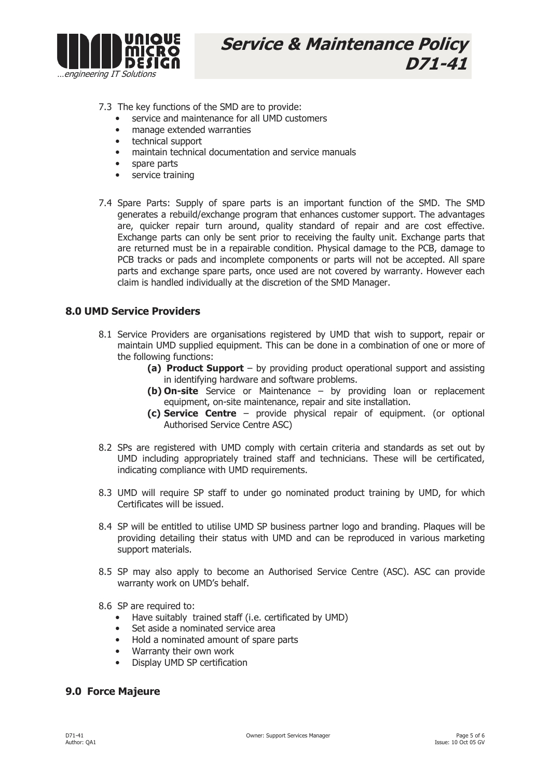

7.3 The key functions of the SMD are to provide:

- service and maintenance for all UMD customers
- manage extended warranties
- technical support
- maintain technical documentation and service manuals
- spare parts
- service training
- 7.4 Spare Parts: Supply of spare parts is an important function of the SMD. The SMD generates a rebuild/exchange program that enhances customer support. The advantages are, quicker repair turn around, quality standard of repair and are cost effective. Exchange parts can only be sent prior to receiving the faulty unit. Exchange parts that are returned must be in a repairable condition. Physical damage to the PCB, damage to PCB tracks or pads and incomplete components or parts will not be accepted. All spare parts and exchange spare parts, once used are not covered by warranty. However each claim is handled individually at the discretion of the SMD Manager.

#### 8.0 UMD Service Providers

- 8.1 Service Providers are organisations registered by UMD that wish to support, repair or maintain UMD supplied equipment. This can be done in a combination of one or more of the following functions:
	- (a) Product Support by providing product operational support and assisting in identifying hardware and software problems.
	- (b) On-site Service or Maintenance by providing loan or replacement equipment, on-site maintenance, repair and site installation.
	- (c) Service Centre provide physical repair of equipment. (or optional Authorised Service Centre ASC)
- 8.2 SPs are registered with UMD comply with certain criteria and standards as set out by UMD including appropriately trained staff and technicians. These will be certificated, indicating compliance with UMD requirements.
- 8.3 UMD will require SP staff to under go nominated product training by UMD, for which Certificates will be issued.
- 8.4 SP will be entitled to utilise UMD SP business partner logo and branding. Plaques will be providing detailing their status with UMD and can be reproduced in various marketing support materials.
- 8.5 SP may also apply to become an Authorised Service Centre (ASC). ASC can provide warranty work on UMD's behalf.
- 8.6 SP are required to:
	- Have suitably trained staff (i.e. certificated by UMD)
	- Set aside a nominated service area
	- Hold a nominated amount of spare parts
	- Warranty their own work
	- Display UMD SP certification

### 9.0 Force Majeure